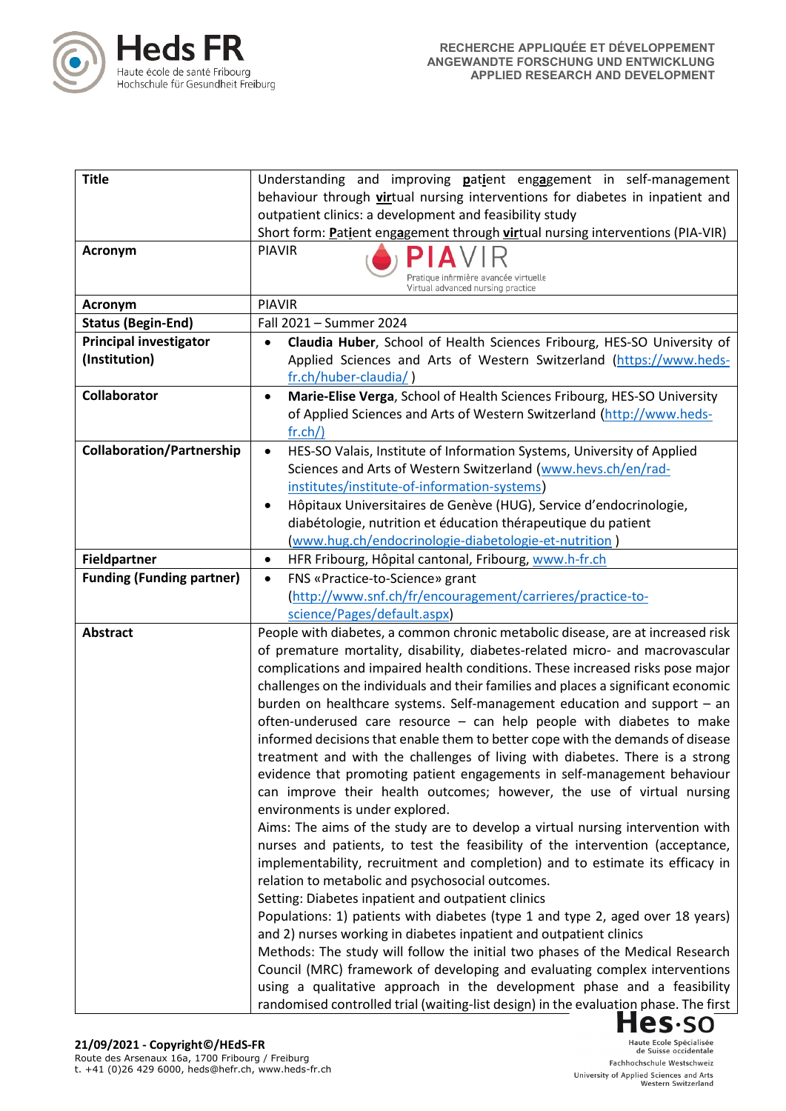

| <b>Title</b>                     | Understanding and improving patient engagement in self-management                                                 |
|----------------------------------|-------------------------------------------------------------------------------------------------------------------|
|                                  | behaviour through virtual nursing interventions for diabetes in inpatient and                                     |
|                                  | outpatient clinics: a development and feasibility study                                                           |
|                                  | Short form: Patient engagement through virtual nursing interventions (PIA-VIR)                                    |
| Acronym                          | <b>PIAVIR</b>                                                                                                     |
|                                  | Pratique infirmière avancée virtuelle<br>Virtual advanced nursing practice                                        |
| <b>Acronym</b>                   | <b>PIAVIR</b>                                                                                                     |
| <b>Status (Begin-End)</b>        | Fall 2021 - Summer 2024                                                                                           |
| <b>Principal investigator</b>    | Claudia Huber, School of Health Sciences Fribourg, HES-SO University of                                           |
| (Institution)                    | Applied Sciences and Arts of Western Switzerland (https://www.heds-                                               |
|                                  | fr.ch/huber-claudia/)                                                                                             |
| <b>Collaborator</b>              | Marie-Elise Verga, School of Health Sciences Fribourg, HES-SO University<br>$\bullet$                             |
|                                  | of Applied Sciences and Arts of Western Switzerland (http://www.heds-                                             |
|                                  | fr.ch/                                                                                                            |
| <b>Collaboration/Partnership</b> | HES-SO Valais, Institute of Information Systems, University of Applied<br>$\bullet$                               |
|                                  | Sciences and Arts of Western Switzerland (www.hevs.ch/en/rad-                                                     |
|                                  | institutes/institute-of-information-systems)                                                                      |
|                                  | Hôpitaux Universitaires de Genève (HUG), Service d'endocrinologie,                                                |
|                                  | diabétologie, nutrition et éducation thérapeutique du patient                                                     |
|                                  | (www.hug.ch/endocrinologie-diabetologie-et-nutrition)                                                             |
| <b>Fieldpartner</b>              | HFR Fribourg, Hôpital cantonal, Fribourg, www.h-fr.ch<br>$\bullet$                                                |
| <b>Funding (Funding partner)</b> | FNS «Practice-to-Science» grant<br>$\bullet$                                                                      |
|                                  | (http://www.snf.ch/fr/encouragement/carrieres/practice-to-<br>science/Pages/default.aspx)                         |
| <b>Abstract</b>                  | People with diabetes, a common chronic metabolic disease, are at increased risk                                   |
|                                  | of premature mortality, disability, diabetes-related micro- and macrovascular                                     |
|                                  | complications and impaired health conditions. These increased risks pose major                                    |
|                                  | challenges on the individuals and their families and places a significant economic                                |
|                                  | burden on healthcare systems. Self-management education and support - an                                          |
|                                  | often-underused care resource - can help people with diabetes to make                                             |
|                                  | informed decisions that enable them to better cope with the demands of disease                                    |
|                                  | treatment and with the challenges of living with diabetes. There is a strong                                      |
|                                  | evidence that promoting patient engagements in self-management behaviour                                          |
|                                  | can improve their health outcomes; however, the use of virtual nursing                                            |
|                                  | environments is under explored.<br>Aims: The aims of the study are to develop a virtual nursing intervention with |
|                                  | nurses and patients, to test the feasibility of the intervention (acceptance,                                     |
|                                  | implementability, recruitment and completion) and to estimate its efficacy in                                     |
|                                  | relation to metabolic and psychosocial outcomes.                                                                  |
|                                  | Setting: Diabetes inpatient and outpatient clinics                                                                |
|                                  | Populations: 1) patients with diabetes (type 1 and type 2, aged over 18 years)                                    |
|                                  | and 2) nurses working in diabetes inpatient and outpatient clinics                                                |
|                                  | Methods: The study will follow the initial two phases of the Medical Research                                     |
|                                  | Council (MRC) framework of developing and evaluating complex interventions                                        |
|                                  | using a qualitative approach in the development phase and a feasibility                                           |
|                                  | randomised controlled trial (waiting-list design) in the evaluation phase. The first                              |
|                                  | $Hes$ -so                                                                                                         |

Haute Ecole Spécialisée<br>de Suisse occidentale Fachhochschule Westschweiz University of Applied Sciences and Arts<br>Western Switzerland